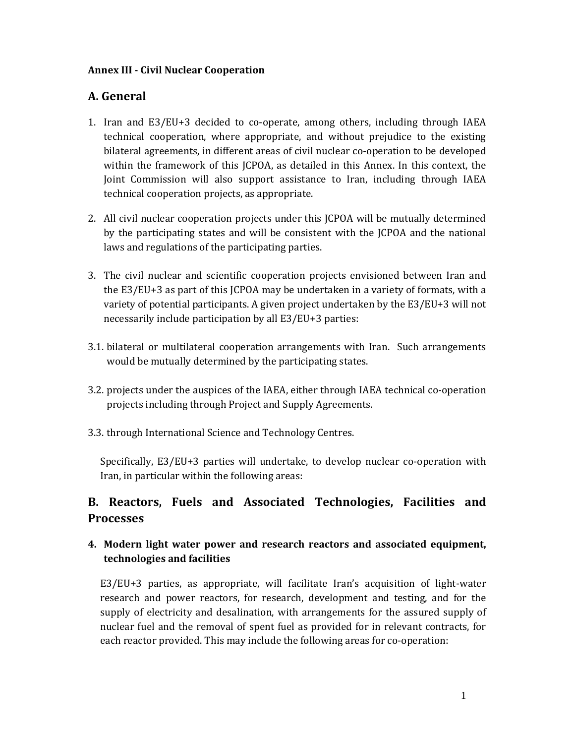#### **Annex III - Civil Nuclear Cooperation**

### **A. General**

- 1. Iran and E3/EU+3 decided to co-operate, among others, including through IAEA technical cooperation, where appropriate, and without prejudice to the existing bilateral agreements, in different areas of civil nuclear co-operation to be developed within the framework of this JCPOA, as detailed in this Annex. In this context, the Joint Commission will also support assistance to Iran, including through IAEA technical cooperation projects, as appropriate.
- 2. All civil nuclear cooperation projects under this JCPOA will be mutually determined by the participating states and will be consistent with the JCPOA and the national laws and regulations of the participating parties.
- 3. The civil nuclear and scientific cooperation projects envisioned between Iran and the E3/EU+3 as part of this JCPOA may be undertaken in a variety of formats, with a variety of potential participants. A given project undertaken by the E3/EU+3 will not necessarily include participation by all E3/EU+3 parties:
- 3.1. bilateral or multilateral cooperation arrangements with Iran. Such arrangements would be mutually determined by the participating states.
- 3.2. projects under the auspices of the IAEA, either through IAEA technical co-operation projects including through Project and Supply Agreements.
- 3.3. through International Science and Technology Centres.

Specifically, E3/EU+3 parties will undertake, to develop nuclear co-operation with Iran, in particular within the following areas:

# **B. Reactors, Fuels and Associated Technologies, Facilities and Processes**

### **4. Modern light water power and research reactors and associated equipment, technologies and facilities**

E3/EU+3 parties, as appropriate, will facilitate Iran's acquisition of light-water research and power reactors, for research, development and testing, and for the supply of electricity and desalination, with arrangements for the assured supply of nuclear fuel and the removal of spent fuel as provided for in relevant contracts, for each reactor provided. This may include the following areas for co-operation: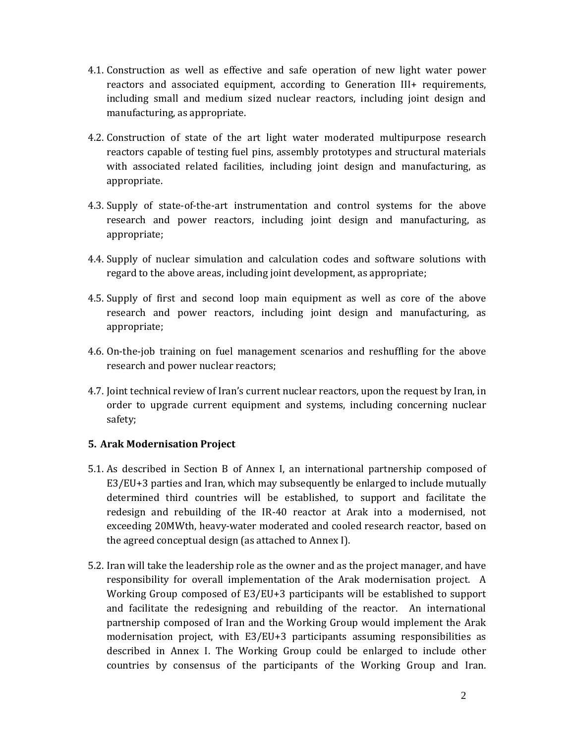- 4.1. Construction as well as effective and safe operation of new light water power reactors and associated equipment, according to Generation III+ requirements, including small and medium sized nuclear reactors, including joint design and manufacturing, as appropriate.
- 4.2. Construction of state of the art light water moderated multipurpose research reactors capable of testing fuel pins, assembly prototypes and structural materials with associated related facilities, including joint design and manufacturing, as appropriate.
- 4.3. Supply of state-of-the-art instrumentation and control systems for the above research and power reactors, including joint design and manufacturing, as appropriate;
- 4.4. Supply of nuclear simulation and calculation codes and software solutions with regard to the above areas, including joint development, as appropriate;
- 4.5. Supply of first and second loop main equipment as well as core of the above research and power reactors, including joint design and manufacturing, as appropriate;
- 4.6. On-the-job training on fuel management scenarios and reshuffling for the above research and power nuclear reactors;
- 4.7. Joint technical review of Iran's current nuclear reactors, upon the request by Iran, in order to upgrade current equipment and systems, including concerning nuclear safety;

#### **5. Arak Modernisation Project**

- 5.1. As described in Section B of Annex I, an international partnership composed of E3/EU+3 parties and Iran, which may subsequently be enlarged to include mutually determined third countries will be established, to support and facilitate the redesign and rebuilding of the IR-40 reactor at Arak into a modernised, not exceeding 20MWth, heavy-water moderated and cooled research reactor, based on the agreed conceptual design (as attached to Annex I).
- 5.2. Iran will take the leadership role as the owner and as the project manager, and have responsibility for overall implementation of the Arak modernisation project. A Working Group composed of E3/EU+3 participants will be established to support and facilitate the redesigning and rebuilding of the reactor. An international partnership composed of Iran and the Working Group would implement the Arak modernisation project, with E3/EU+3 participants assuming responsibilities as described in Annex I. The Working Group could be enlarged to include other countries by consensus of the participants of the Working Group and Iran.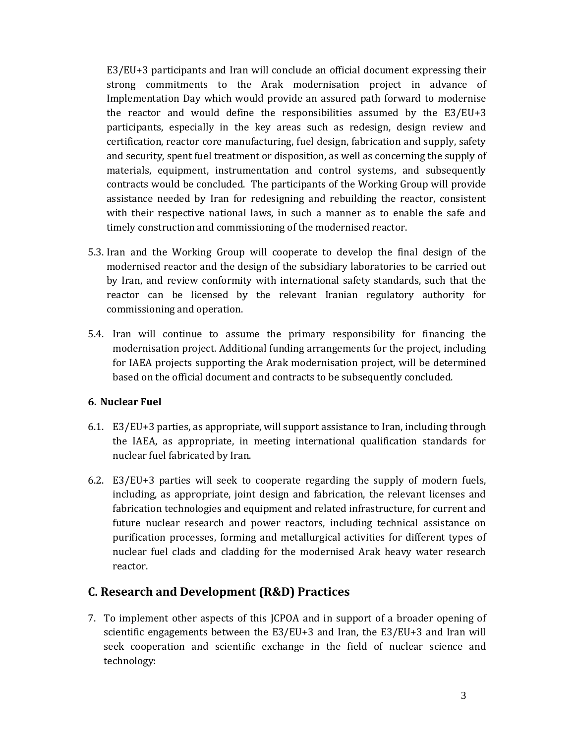E3/EU+3 participants and Iran will conclude an official document expressing their strong commitments to the Arak modernisation project in advance of Implementation Day which would provide an assured path forward to modernise the reactor and would define the responsibilities assumed by the E3/EU+3 participants, especially in the key areas such as redesign, design review and certification, reactor core manufacturing, fuel design, fabrication and supply, safety and security, spent fuel treatment or disposition, as well as concerning the supply of materials, equipment, instrumentation and control systems, and subsequently contracts would be concluded. The participants of the Working Group will provide assistance needed by Iran for redesigning and rebuilding the reactor, consistent with their respective national laws, in such a manner as to enable the safe and timely construction and commissioning of the modernised reactor.

- 5.3. Iran and the Working Group will cooperate to develop the final design of the modernised reactor and the design of the subsidiary laboratories to be carried out by Iran, and review conformity with international safety standards, such that the reactor can be licensed by the relevant Iranian regulatory authority for commissioning and operation.
- 5.4. Iran will continue to assume the primary responsibility for financing the modernisation project. Additional funding arrangements for the project, including for IAEA projects supporting the Arak modernisation project, will be determined based on the official document and contracts to be subsequently concluded.

#### **6. Nuclear Fuel**

- 6.1. E3/EU+3 parties, as appropriate, will support assistance to Iran, including through the IAEA, as appropriate, in meeting international qualification standards for nuclear fuel fabricated by Iran.
- 6.2. E3/EU+3 parties will seek to cooperate regarding the supply of modern fuels, including, as appropriate, joint design and fabrication, the relevant licenses and fabrication technologies and equipment and related infrastructure, for current and future nuclear research and power reactors, including technical assistance on purification processes, forming and metallurgical activities for different types of nuclear fuel clads and cladding for the modernised Arak heavy water research reactor.

# **C. Research and Development (R&D) Practices**

7. To implement other aspects of this JCPOA and in support of a broader opening of scientific engagements between the E3/EU+3 and Iran, the E3/EU+3 and Iran will seek cooperation and scientific exchange in the field of nuclear science and technology: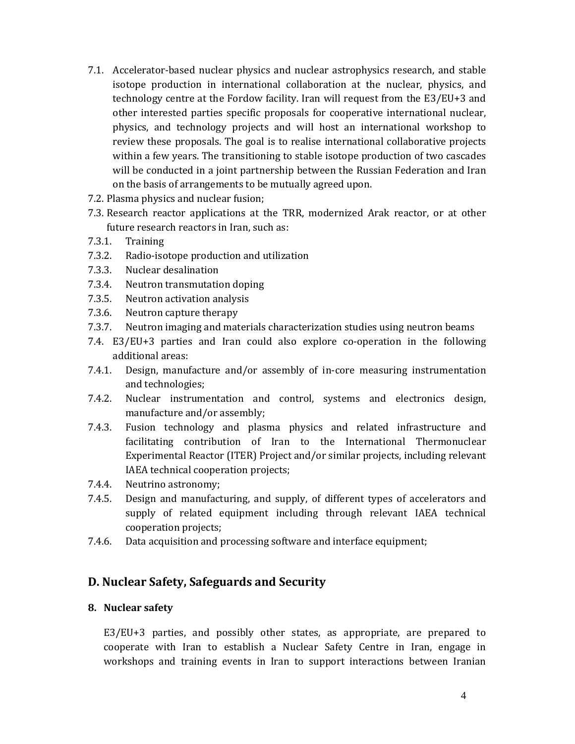- 7.1. Accelerator-based nuclear physics and nuclear astrophysics research, and stable isotope production in international collaboration at the nuclear, physics, and technology centre at the Fordow facility. Iran will request from the E3/EU+3 and other interested parties specific proposals for cooperative international nuclear, physics, and technology projects and will host an international workshop to review these proposals. The goal is to realise international collaborative projects within a few years. The transitioning to stable isotope production of two cascades will be conducted in a joint partnership between the Russian Federation and Iran on the basis of arrangements to be mutually agreed upon.
- 7.2. Plasma physics and nuclear fusion;
- 7.3. Research reactor applications at the TRR, modernized Arak reactor, or at other future research reactors in Iran, such as:
- 7.3.1. Training
- 7.3.2. Radio-isotope production and utilization
- 7.3.3. Nuclear desalination
- 7.3.4. Neutron transmutation doping
- 7.3.5. Neutron activation analysis
- 7.3.6. Neutron capture therapy
- 7.3.7. Neutron imaging and materials characterization studies using neutron beams
- 7.4. E3/EU+3 parties and Iran could also explore co-operation in the following additional areas:
- 7.4.1. Design, manufacture and/or assembly of in-core measuring instrumentation and technologies;
- 7.4.2. Nuclear instrumentation and control, systems and electronics design, manufacture and/or assembly;
- 7.4.3. Fusion technology and plasma physics and related infrastructure and facilitating contribution of Iran to the International Thermonuclear Experimental Reactor (ITER) Project and/or similar projects, including relevant IAEA technical cooperation projects;
- 7.4.4. Neutrino astronomy;
- 7.4.5. Design and manufacturing, and supply, of different types of accelerators and supply of related equipment including through relevant IAEA technical cooperation projects;
- 7.4.6. Data acquisition and processing software and interface equipment;

# **D. Nuclear Safety, Safeguards and Security**

#### **8. Nuclear safety**

E3/EU+3 parties, and possibly other states, as appropriate, are prepared to cooperate with Iran to establish a Nuclear Safety Centre in Iran, engage in workshops and training events in Iran to support interactions between Iranian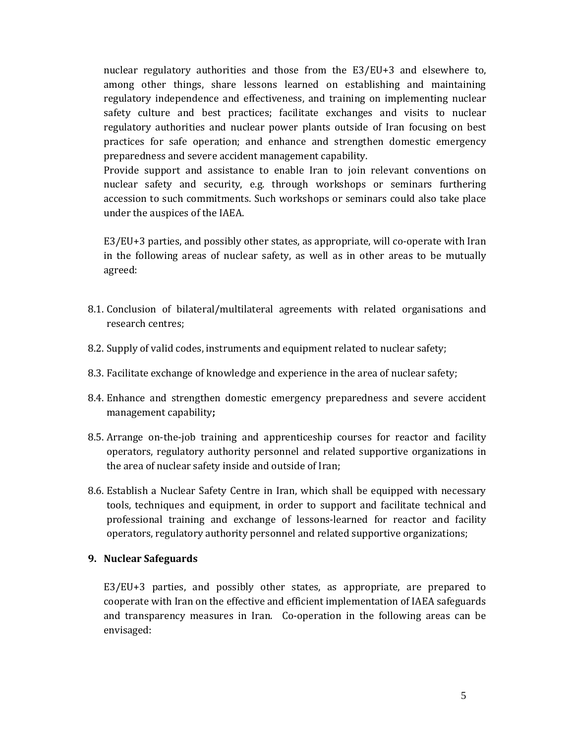nuclear regulatory authorities and those from the E3/EU+3 and elsewhere to, among other things, share lessons learned on establishing and maintaining regulatory independence and effectiveness, and training on implementing nuclear safety culture and best practices; facilitate exchanges and visits to nuclear regulatory authorities and nuclear power plants outside of Iran focusing on best practices for safe operation; and enhance and strengthen domestic emergency preparedness and severe accident management capability.

Provide support and assistance to enable Iran to join relevant conventions on nuclear safety and security, e.g. through workshops or seminars furthering accession to such commitments. Such workshops or seminars could also take place under the auspices of the IAEA.

E3/EU+3 parties, and possibly other states, as appropriate, will co-operate with Iran in the following areas of nuclear safety, as well as in other areas to be mutually agreed:

- 8.1. Conclusion of bilateral/multilateral agreements with related organisations and research centres;
- 8.2. Supply of valid codes, instruments and equipment related to nuclear safety;
- 8.3. Facilitate exchange of knowledge and experience in the area of nuclear safety;
- 8.4. Enhance and strengthen domestic emergency preparedness and severe accident management capability**;**
- 8.5. Arrange on-the-job training and apprenticeship courses for reactor and facility operators, regulatory authority personnel and related supportive organizations in the area of nuclear safety inside and outside of Iran;
- 8.6. Establish a Nuclear Safety Centre in Iran, which shall be equipped with necessary tools, techniques and equipment, in order to support and facilitate technical and professional training and exchange of lessons-learned for reactor and facility operators, regulatory authority personnel and related supportive organizations;

#### **9. Nuclear Safeguards**

E3/EU+3 parties, and possibly other states, as appropriate, are prepared to cooperate with Iran on the effective and efficient implementation of IAEA safeguards and transparency measures in Iran. Co-operation in the following areas can be envisaged: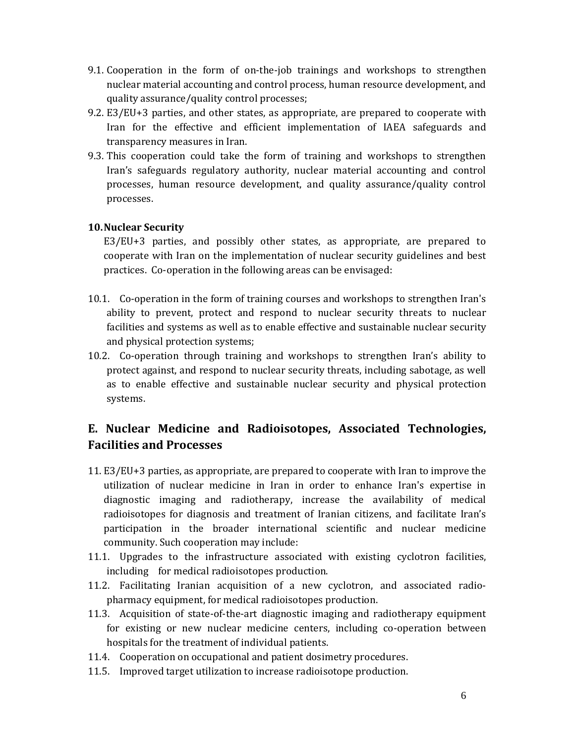- 9.1. Cooperation in the form of on-the-job trainings and workshops to strengthen nuclear material accounting and control process, human resource development, and quality assurance/quality control processes;
- 9.2. E3/EU+3 parties, and other states, as appropriate, are prepared to cooperate with Iran for the effective and efficient implementation of IAEA safeguards and transparency measures in Iran.
- 9.3. This cooperation could take the form of training and workshops to strengthen Iran's safeguards regulatory authority, nuclear material accounting and control processes, human resource development, and quality assurance/quality control processes.

#### **10.Nuclear Security**

E3/EU+3 parties, and possibly other states, as appropriate, are prepared to cooperate with Iran on the implementation of nuclear security guidelines and best practices. Co-operation in the following areas can be envisaged:

- 10.1. Co-operation in the form of training courses and workshops to strengthen Iran's ability to prevent, protect and respond to nuclear security threats to nuclear facilities and systems as well as to enable effective and sustainable nuclear security and physical protection systems;
- 10.2. Co-operation through training and workshops to strengthen Iran's ability to protect against, and respond to nuclear security threats, including sabotage, as well as to enable effective and sustainable nuclear security and physical protection systems.

# **E. Nuclear Medicine and Radioisotopes, Associated Technologies, Facilities and Processes**

- 11. E3/EU+3 parties, as appropriate, are prepared to cooperate with Iran to improve the utilization of nuclear medicine in Iran in order to enhance Iran's expertise in diagnostic imaging and radiotherapy, increase the availability of medical radioisotopes for diagnosis and treatment of Iranian citizens, and facilitate Iran's participation in the broader international scientific and nuclear medicine community. Such cooperation may include:
- 11.1. Upgrades to the infrastructure associated with existing cyclotron facilities, including for medical radioisotopes production.
- 11.2. Facilitating Iranian acquisition of a new cyclotron, and associated radiopharmacy equipment, for medical radioisotopes production.
- 11.3. Acquisition of state-of-the-art diagnostic imaging and radiotherapy equipment for existing or new nuclear medicine centers, including co-operation between hospitals for the treatment of individual patients.
- 11.4. Cooperation on occupational and patient dosimetry procedures.
- 11.5. Improved target utilization to increase radioisotope production.